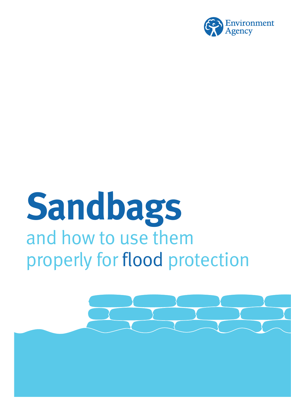

# **Sandbags** and how to use them properly for flood protection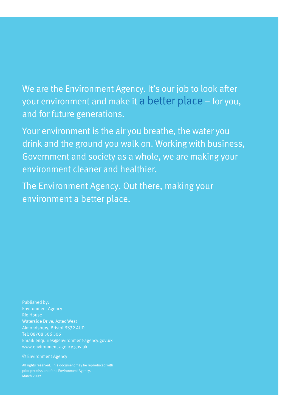We are the Environment Agency. It's our job to look after your environment and make it a better place – for you, and for future generations.

Your environment is the air you breathe, the water you drink and the ground you walk on. Working with business, Government and society as a whole, we are making your environment cleaner and healthier.

The Environment Agency. Out there, making your environment a better place.

Published by: Environment Agency Rio House Waterside Drive, Aztec West Almondsbury, Bristol BS32 4UD Tel: 08708 506 506 Email: enquiries@environment-agency.gov.uk www.environment-agency.gov.uk

#### © Environment Agency

All rights reserved. This document may be reproduced with prior permission of the Environment Agency.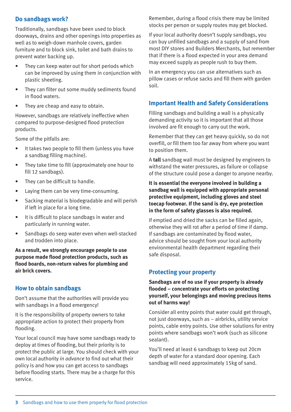# **Do sandbags work?**

Traditionally, sandbags have been used to block doorways, drains and other openings into properties as well as to weigh-down manhole covers, garden furniture and to block sink, toilet and bath drains to prevent water backing up.

- They can keep water out for short periods which can be improved by using them in conjunction with plastic sheeting.
- They can filter out some muddy sediments found in flood waters.
- They are cheap and easy to obtain.

However, sandbags are relatively ineffective when compared to purpose-designed flood protection products.

Some of the pitfalls are:

- It takes two people to fill them (unless you have a sandbag filling machine).
- They take time to fill (approximately one hour to fill 12 sandbags).
- They can be difficult to handle.
- Laying them can be very time-consuming.
- Sacking material is biodegradable and will perish if left in place for a long time.
- It is difficult to place sandbags in water and particularly in running water.
- Sandbags do seep water even when well-stacked and trodden into place.

**As a result, we strongly encourage people to use purpose made flood protection products, such as flood boards, non-return valves for plumbing and air brick covers.**

# **How to obtain sandbags**

Don't assume that the authorities will provide you with sandbags in a flood emergency!

It is the responsibility of property owners to take appropriate action to protect their property from flooding.

Your local council may have some sandbags ready to deploy at times of flooding, but their priority is to protect the public at large. You should check with your own local authority *in advance* to find out what their policy is and how you can get access to sandbags before flooding starts. There may be a charge for this service.

Remember, during a flood crisis there may be limited stocks per person or supply routes may get blocked.

If your local authority doesn't supply sandbags, you can buy unfilled sandbags and a supply of sand from most DIY stores and Builders Merchants, but remember that if there is a flood expected in your area demand may exceed supply as people rush to buy them.

In an emergency you can use alternatives such as pillow cases or refuse sacks and fill them with garden soil.

# **Important Health and Safety Considerations**

Filling sandbags and building a wall is a physically demanding activity so it is important that all those involved are fit enough to carry out the work.

Remember that they can get heavy quickly, so do not overfill, or fill them too far away from where you want to position them.

A **tall** sandbag wall must be designed by engineers to withstand the water pressures, as failure or collapse of the structure could pose a danger to anyone nearby.

#### **It is essential the everyone involved in building a sandbag wall is equipped with appropriate personal protective equipment, including gloves and steel toecap footwear. If the sand is dry, eye protection in the form of safety glasses is also required.**

If emptied and dried the sacks can be filled again, otherwise they will rot after a period of time if damp. If sandbags are contaminated by flood water, advice should be sought from your local authority environmental health department regarding their safe disposal.

# **Protecting your property**

**Sandbags are of no use if your property is already flooded – concentrate your efforts on protecting yourself, your belongings and moving precious items out of harms way!**

Consider all entry points that water could get through, not just doorways, such as – airbricks, utility service points, cable entry points. Use other solutions for entry points where sandbags won't work (such as silicone sealant).

You'll need at least 6 sandbags to keep out 20cm depth of water for a standard door opening. Each sandbag will need approximately 15kg of sand.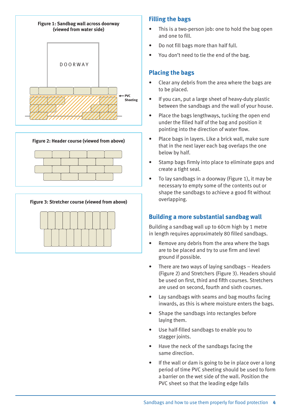



**Figure 3: Stretcher course (viewed from above)** 



# **Filling the bags**

- This is a two-person job: one to hold the bag open and one to fill.
- Do not fill bags more than half full.
- You don't need to tie the end of the bag.

# **Placing the bags**

- Clear any debris from the area where the bags are to be placed.
- If you can, put a large sheet of heavy-duty plastic between the sandbags and the wall of your house.
- Place the bags lengthways, tucking the open end under the filled half of the bag and position it pointing into the direction of water flow.
- Place bags in layers. Like a brick wall, make sure that in the next layer each bag overlaps the one below by half.
- Stamp bags firmly into place to eliminate gaps and create a tight seal.
- To lay sandbags in a doorway (Figure 1), it may be necessary to empty some of the contents out or shape the sandbags to achieve a good fit without overlapping.

# **Building a more substantial sandbag wall**

Building a sandbag wall up to 60cm high by 1 metre in length requires approximately 80 filled sandbags.

- Remove any debris from the area where the bags are to be placed and try to use firm and level ground if possible.
- There are two ways of laying sandbags Headers (Figure 2) and Stretchers (Figure 3). Headers should be used on first, third and fifth courses. Stretchers are used on second, fourth and sixth courses.
- Lay sandbags with seams and bag mouths facing inwards, as this is where moisture enters the bags.
- Shape the sandbags into rectangles before laying them.
- Use half-filled sandbags to enable you to stagger joints.
- Have the neck of the sandbags facing the same direction.
- If the wall or dam is going to be in place over a long period of time PVC sheeting should be used to form a barrier on the wet side of the wall. Position the PVC sheet so that the leading edge falls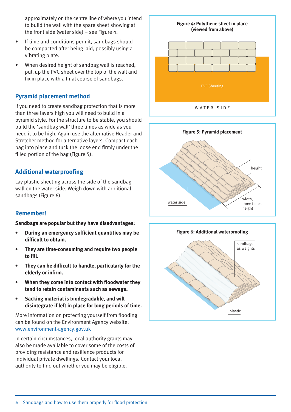approximately on the centre line of where you intend to build the wall with the spare sheet showing at the front side (water side) – see Figure 4.

- If time and conditions permit, sandbags should be compacted after being laid, possibly using a vibrating plate.
- When desired height of sandbag wall is reached, pull up the PVC sheet over the top of the wall and fix in place with a final course of sandbags.

# **Pyramid placement method**

If you need to create sandbag protection that is more than three layers high you will need to build in a pyramid style. For the structure to be stable, you should build the 'sandbag wall' three times as wide as you need it to be high. Again use the alternative Header and Stretcher method for alternative layers. Compact each bag into place and tuck the loose end firmly under the filled portion of the bag (Figure 5).

# **Additional waterproofing**

Lay plastic sheeting across the side of the sandbag wall on the water side. Weigh down with additional sandbags (Figure 6).

# **Remember!**

**Sandbags are popular but they have disadvantages:**

- **• During an emergency sufficient quantities may be difficult to obtain.**
- **• They are time-consuming and require two people to fill.**
- **• They can be difficult to handle, particularly for the elderly or infirm.**
- **• When they come into contact with floodwater they tend to retain contaminants such as sewage.**
- **• Sacking material is biodegradable, and will disintegrate if left in place for long periods of time.**

More information on protecting yourself from flooding can be found on the Environment Agency website: www.environment-agency.gov.uk

In certain circumstances, local authority grants may also be made available to cover some of the costs of providing resistance and resilience products for individual private dwellings. Contact your local authority to find out whether you may be eligible.